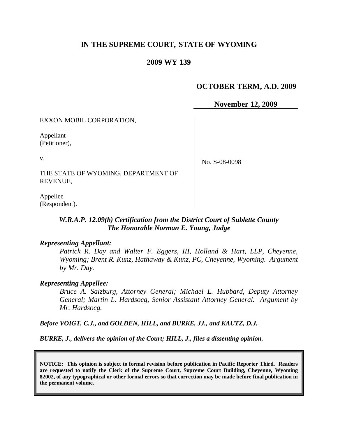# **IN THE SUPREME COURT, STATE OF WYOMING**

#### **2009 WY 139**

#### **OCTOBER TERM, A.D. 2009**

**November 12, 2009**

EXXON MOBIL CORPORATION,

Appellant (Petitioner),

v.

No. S-08-0098

THE STATE OF WYOMING, DEPARTMENT OF REVENUE,

Appellee (Respondent).

### *W.R.A.P. 12.09(b) Certification from the District Court of Sublette County The Honorable Norman E. Young, Judge*

#### *Representing Appellant:*

*Patrick R. Day and Walter F. Eggers, III, Holland & Hart, LLP, Cheyenne, Wyoming; Brent R. Kunz, Hathaway & Kunz, PC, Cheyenne, Wyoming. Argument by Mr. Day.* 

#### *Representing Appellee:*

*Bruce A. Salzburg, Attorney General; Michael L. Hubbard, Deputy Attorney General; Martin L. Hardsocg, Senior Assistant Attorney General. Argument by Mr. Hardsocg.*

*Before VOIGT, C.J., and GOLDEN, HILL, and BURKE, JJ., and KAUTZ, D.J.*

*BURKE, J., delivers the opinion of the Court; HILL, J., files a dissenting opinion.*

**NOTICE: This opinion is subject to formal revision before publication in Pacific Reporter Third. Readers are requested to notify the Clerk of the Supreme Court, Supreme Court Building, Cheyenne, Wyoming 82002, of any typographical or other formal errors so that correction may be made before final publication in the permanent volume.**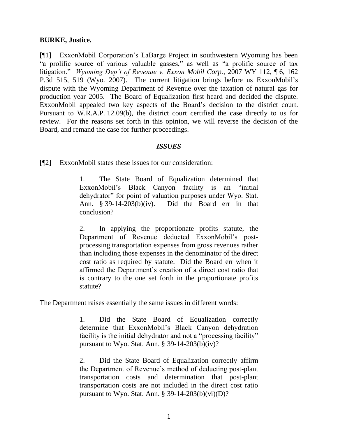#### **BURKE, Justice.**

[¶1] ExxonMobil Corporation's LaBarge Project in southwestern Wyoming has been "a prolific source of various valuable gasses," as well as "a prolific source of tax litigation." *Wyoming Dep't of Revenue v. Exxon Mobil Corp.*, 2007 WY 112, ¶ 6, 162 P.3d 515, 519 (Wyo. 2007). The current litigation brings before us ExxonMobil"s dispute with the Wyoming Department of Revenue over the taxation of natural gas for production year 2005. The Board of Equalization first heard and decided the dispute. ExxonMobil appealed two key aspects of the Board"s decision to the district court. Pursuant to W.R.A.P. 12.09(b), the district court certified the case directly to us for review. For the reasons set forth in this opinion, we will reverse the decision of the Board, and remand the case for further proceedings.

#### *ISSUES*

[¶2] ExxonMobil states these issues for our consideration:

1. The State Board of Equalization determined that ExxonMobil"s Black Canyon facility is an "initial dehydrator" for point of valuation purposes under Wyo. Stat. Ann.  $§$  39-14-203(b)(iv). Did the Board err in that conclusion?

2. In applying the proportionate profits statute, the Department of Revenue deducted ExxonMobil"s postprocessing transportation expenses from gross revenues rather than including those expenses in the denominator of the direct cost ratio as required by statute. Did the Board err when it affirmed the Department"s creation of a direct cost ratio that is contrary to the one set forth in the proportionate profits statute?

The Department raises essentially the same issues in different words:

1. Did the State Board of Equalization correctly determine that ExxonMobil"s Black Canyon dehydration facility is the initial dehydrator and not a "processing facility" pursuant to Wyo. Stat. Ann.  $\S$  39-14-203(b)(iv)?

2. Did the State Board of Equalization correctly affirm the Department of Revenue"s method of deducting post-plant transportation costs and determination that post-plant transportation costs are not included in the direct cost ratio pursuant to Wyo. Stat. Ann.  $\S$  39-14-203(b)(vi)(D)?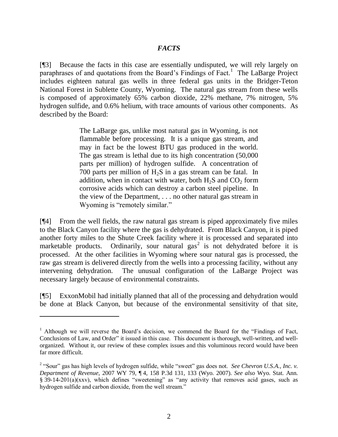### *FACTS*

[¶3] Because the facts in this case are essentially undisputed, we will rely largely on paraphrases of and quotations from the Board's Findings of Fact.<sup>1</sup> The LaBarge Project includes eighteen natural gas wells in three federal gas units in the Bridger-Teton National Forest in Sublette County, Wyoming. The natural gas stream from these wells is composed of approximately 65% carbon dioxide, 22% methane, 7% nitrogen, 5% hydrogen sulfide, and 0.6% helium, with trace amounts of various other components. As described by the Board:

> The LaBarge gas, unlike most natural gas in Wyoming, is not flammable before processing. It is a unique gas stream, and may in fact be the lowest BTU gas produced in the world. The gas stream is lethal due to its high concentration (50,000 parts per million) of hydrogen sulfide. A concentration of 700 parts per million of  $H_2S$  in a gas stream can be fatal. In addition, when in contact with water, both  $H_2S$  and  $CO_2$  form corrosive acids which can destroy a carbon steel pipeline. In the view of the Department, . . . no other natural gas stream in Wyoming is "remotely similar."

[¶4] From the well fields, the raw natural gas stream is piped approximately five miles to the Black Canyon facility where the gas is dehydrated. From Black Canyon, it is piped another forty miles to the Shute Creek facility where it is processed and separated into marketable products. Ordinarily, sour natural gas<sup>2</sup> is not dehydrated before it is processed. At the other facilities in Wyoming where sour natural gas is processed, the raw gas stream is delivered directly from the wells into a processing facility, without any intervening dehydration. The unusual configuration of the LaBarge Project was necessary largely because of environmental constraints.

[¶5] ExxonMobil had initially planned that all of the processing and dehydration would be done at Black Canyon, but because of the environmental sensitivity of that site,

 $\overline{a}$ 

<sup>&</sup>lt;sup>1</sup> Although we will reverse the Board's decision, we commend the Board for the "Findings of Fact, Conclusions of Law, and Order" it issued in this case. This document is thorough, well-written, and wellorganized. Without it, our review of these complex issues and this voluminous record would have been far more difficult.

<sup>&</sup>lt;sup>2</sup> "Sour" gas has high levels of hydrogen sulfide, while "sweet" gas does not. *See Chevron U.S.A., Inc. v. Department of Revenue*, 2007 WY 79, ¶ 4, 158 P.3d 131, 133 (Wyo. 2007). *See also* Wyo. Stat. Ann. § 39-14-201(a)(xxv), which defines "sweetening" as "any activity that removes acid gases, such as hydrogen sulfide and carbon dioxide, from the well stream."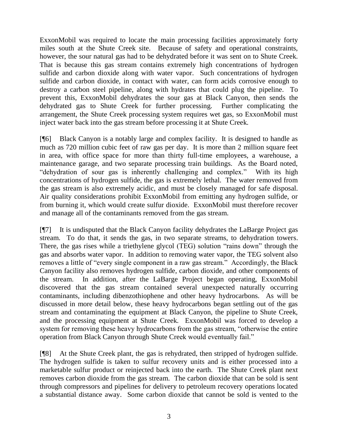ExxonMobil was required to locate the main processing facilities approximately forty miles south at the Shute Creek site. Because of safety and operational constraints, however, the sour natural gas had to be dehydrated before it was sent on to Shute Creek. That is because this gas stream contains extremely high concentrations of hydrogen sulfide and carbon dioxide along with water vapor. Such concentrations of hydrogen sulfide and carbon dioxide, in contact with water, can form acids corrosive enough to destroy a carbon steel pipeline, along with hydrates that could plug the pipeline. To prevent this, ExxonMobil dehydrates the sour gas at Black Canyon, then sends the dehydrated gas to Shute Creek for further processing. Further complicating the arrangement, the Shute Creek processing system requires wet gas, so ExxonMobil must inject water back into the gas stream before processing it at Shute Creek.

[¶6] Black Canyon is a notably large and complex facility. It is designed to handle as much as 720 million cubic feet of raw gas per day. It is more than 2 million square feet in area, with office space for more than thirty full-time employees, a warehouse, a maintenance garage, and two separate processing train buildings. As the Board noted, "dehydration of sour gas is inherently challenging and complex." With its high concentrations of hydrogen sulfide, the gas is extremely lethal. The water removed from the gas stream is also extremely acidic, and must be closely managed for safe disposal. Air quality considerations prohibit ExxonMobil from emitting any hydrogen sulfide, or from burning it, which would create sulfur dioxide. ExxonMobil must therefore recover and manage all of the contaminants removed from the gas stream.

[¶7] It is undisputed that the Black Canyon facility dehydrates the LaBarge Project gas stream. To do that, it sends the gas, in two separate streams, to dehydration towers. There, the gas rises while a triethylene glycol (TEG) solution "rains down" through the gas and absorbs water vapor. In addition to removing water vapor, the TEG solvent also removes a little of "every single component in a raw gas stream." Accordingly, the Black Canyon facility also removes hydrogen sulfide, carbon dioxide, and other components of the stream. In addition, after the LaBarge Project began operating, ExxonMobil discovered that the gas stream contained several unexpected naturally occurring contaminants, including dibenzothiophene and other heavy hydrocarbons. As will be discussed in more detail below, these heavy hydrocarbons began settling out of the gas stream and contaminating the equipment at Black Canyon, the pipeline to Shute Creek, and the processing equipment at Shute Creek. ExxonMobil was forced to develop a system for removing these heavy hydrocarbons from the gas stream, "otherwise the entire operation from Black Canyon through Shute Creek would eventually fail."

[¶8] At the Shute Creek plant, the gas is rehydrated, then stripped of hydrogen sulfide. The hydrogen sulfide is taken to sulfur recovery units and is either processed into a marketable sulfur product or reinjected back into the earth. The Shute Creek plant next removes carbon dioxide from the gas stream. The carbon dioxide that can be sold is sent through compressors and pipelines for delivery to petroleum recovery operations located a substantial distance away. Some carbon dioxide that cannot be sold is vented to the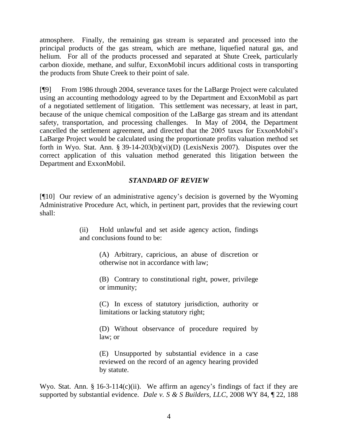atmosphere. Finally, the remaining gas stream is separated and processed into the principal products of the gas stream, which are methane, liquefied natural gas, and helium. For all of the products processed and separated at Shute Creek, particularly carbon dioxide, methane, and sulfur, ExxonMobil incurs additional costs in transporting the products from Shute Creek to their point of sale.

[¶9] From 1986 through 2004, severance taxes for the LaBarge Project were calculated using an accounting methodology agreed to by the Department and ExxonMobil as part of a negotiated settlement of litigation. This settlement was necessary, at least in part, because of the unique chemical composition of the LaBarge gas stream and its attendant safety, transportation, and processing challenges. In May of 2004, the Department cancelled the settlement agreement, and directed that the 2005 taxes for ExxonMobil"s LaBarge Project would be calculated using the proportionate profits valuation method set forth in Wyo. Stat. Ann. § 39-14-203(b)(vi)(D) (LexisNexis 2007). Disputes over the correct application of this valuation method generated this litigation between the Department and ExxonMobil.

# *STANDARD OF REVIEW*

[¶10] Our review of an administrative agency"s decision is governed by the Wyoming Administrative Procedure Act, which, in pertinent part, provides that the reviewing court shall:

> (ii) Hold unlawful and set aside agency action, findings and conclusions found to be:

> > (A) Arbitrary, capricious, an abuse of discretion or otherwise not in accordance with law;

> > (B) Contrary to constitutional right, power, privilege or immunity;

> > (C) In excess of statutory jurisdiction, authority or limitations or lacking statutory right;

> > (D) Without observance of procedure required by law; or

> > (E) Unsupported by substantial evidence in a case reviewed on the record of an agency hearing provided by statute.

Wyo. Stat. Ann.  $\S 16-3-114(c)(ii)$ . We affirm an agency's findings of fact if they are supported by substantial evidence. *Dale v. S & S Builders, LLC*, 2008 WY 84, ¶ 22, 188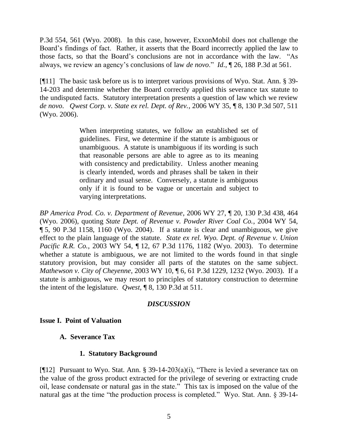P.3d 554, 561 (Wyo. 2008). In this case, however, ExxonMobil does not challenge the Board"s findings of fact. Rather, it asserts that the Board incorrectly applied the law to those facts, so that the Board"s conclusions are not in accordance with the law. "As always, we review an agency"s conclusions of law *de novo*." *Id*., ¶ 26, 188 P.3d at 561.

[¶11] The basic task before us is to interpret various provisions of Wyo. Stat. Ann. § 39- 14-203 and determine whether the Board correctly applied this severance tax statute to the undisputed facts. Statutory interpretation presents a question of law which we review *de novo*. *Qwest Corp. v. State ex rel. Dept. of Rev.*, 2006 WY 35, ¶ 8, 130 P.3d 507, 511 (Wyo. 2006).

> When interpreting statutes, we follow an established set of guidelines. First, we determine if the statute is ambiguous or unambiguous. A statute is unambiguous if its wording is such that reasonable persons are able to agree as to its meaning with consistency and predictability. Unless another meaning is clearly intended, words and phrases shall be taken in their ordinary and usual sense. Conversely, a statute is ambiguous only if it is found to be vague or uncertain and subject to varying interpretations.

*BP America Prod. Co. v. Department of Revenue*, 2006 WY 27, ¶ 20, 130 P.3d 438, 464 (Wyo. 2006), quoting *State Dept. of Revenue v. Powder River Coal Co.*, 2004 WY 54, ¶ 5, 90 P.3d 1158, 1160 (Wyo. 2004). If a statute is clear and unambiguous, we give effect to the plain language of the statute. *State ex rel. Wyo. Dept. of Revenue v. Union Pacific R.R. Co.*, 2003 WY 54, ¶ 12, 67 P.3d 1176, 1182 (Wyo. 2003). To determine whether a statute is ambiguous, we are not limited to the words found in that single statutory provision, but may consider all parts of the statutes on the same subject. *Mathewson v. City of Cheyenne*, 2003 WY 10, ¶ 6, 61 P.3d 1229, 1232 (Wyo. 2003). If a statute is ambiguous, we may resort to principles of statutory construction to determine the intent of the legislature. *Qwest*, ¶ 8, 130 P.3d at 511.

#### *DISCUSSION*

## **Issue I. Point of Valuation**

## **A. Severance Tax**

## **1. Statutory Background**

[ $[12]$  Pursuant to Wyo. Stat. Ann. § 39-14-203(a)(i), "There is levied a severance tax on the value of the gross product extracted for the privilege of severing or extracting crude oil, lease condensate or natural gas in the state." This tax is imposed on the value of the natural gas at the time "the production process is completed." Wyo. Stat. Ann. § 39-14-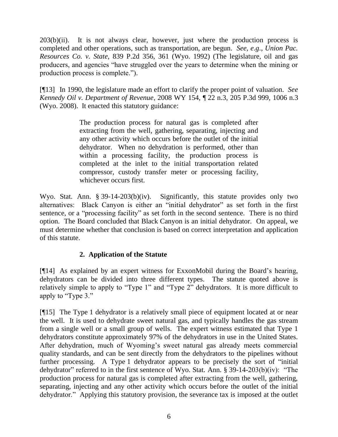$203(b)(ii)$ . It is not always clear, however, just where the production process is completed and other operations, such as transportation, are begun. *See*, *e*.*g*., *Union Pac. Resources Co. v. State,* 839 P.2d 356, 361 (Wyo. 1992) (The legislature, oil and gas producers, and agencies "have struggled over the years to determine when the mining or production process is complete.").

[¶13] In 1990, the legislature made an effort to clarify the proper point of valuation. *See Kennedy Oil v. Department of Revenue*, 2008 WY 154, ¶ 22 n.3, 205 P.3d 999, 1006 n.3 (Wyo. 2008). It enacted this statutory guidance:

> The production process for natural gas is completed after extracting from the well, gathering, separating, injecting and any other activity which occurs before the outlet of the initial dehydrator. When no dehydration is performed, other than within a processing facility, the production process is completed at the inlet to the initial transportation related compressor, custody transfer meter or processing facility, whichever occurs first.

Wyo. Stat. Ann. § 39-14-203(b)(iv). Significantly, this statute provides only two alternatives: Black Canyon is either an "initial dehydrator" as set forth in the first sentence, or a "processing facility" as set forth in the second sentence. There is no third option. The Board concluded that Black Canyon is an initial dehydrator. On appeal, we must determine whether that conclusion is based on correct interpretation and application of this statute.

# **2. Application of the Statute**

[¶14] As explained by an expert witness for ExxonMobil during the Board"s hearing, dehydrators can be divided into three different types. The statute quoted above is relatively simple to apply to "Type 1" and "Type 2" dehydrators. It is more difficult to apply to "Type 3."

[¶15] The Type 1 dehydrator is a relatively small piece of equipment located at or near the well. It is used to dehydrate sweet natural gas, and typically handles the gas stream from a single well or a small group of wells. The expert witness estimated that Type 1 dehydrators constitute approximately 97% of the dehydrators in use in the United States. After dehydration, much of Wyoming"s sweet natural gas already meets commercial quality standards, and can be sent directly from the dehydrators to the pipelines without further processing. A Type 1 dehydrator appears to be precisely the sort of "initial dehydrator" referred to in the first sentence of Wyo. Stat. Ann. § 39-14-203(b)(iv): "The production process for natural gas is completed after extracting from the well, gathering, separating, injecting and any other activity which occurs before the outlet of the initial dehydrator." Applying this statutory provision, the severance tax is imposed at the outlet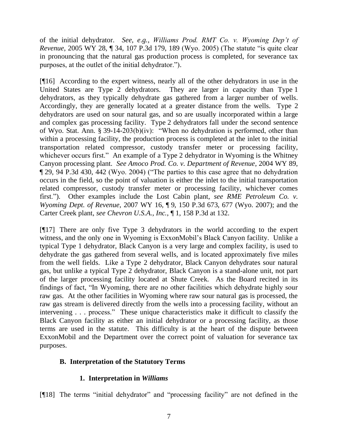of the initial dehydrator. *See*, *e*.*g.*, *Williams Prod. RMT Co. v. Wyoming Dep't of Revenue*, 2005 WY 28, ¶ 34, 107 P.3d 179, 189 (Wyo. 2005) (The statute "is quite clear in pronouncing that the natural gas production process is completed, for severance tax purposes, at the outlet of the initial dehydrator.").

[¶16] According to the expert witness, nearly all of the other dehydrators in use in the United States are Type 2 dehydrators. They are larger in capacity than Type 1 dehydrators, as they typically dehydrate gas gathered from a larger number of wells. Accordingly, they are generally located at a greater distance from the wells. Type 2 dehydrators are used on sour natural gas, and so are usually incorporated within a large and complex gas processing facility. Type 2 dehydrators fall under the second sentence of Wyo. Stat. Ann. § 39-14-203(b)(iv): "When no dehydration is performed, other than within a processing facility, the production process is completed at the inlet to the initial transportation related compressor, custody transfer meter or processing facility, whichever occurs first." An example of a Type 2 dehydrator in Wyoming is the Whitney Canyon processing plant. *See Amoco Prod. Co. v. Department of Revenue*, 2004 WY 89, ¶ 29, 94 P.3d 430, 442 (Wyo. 2004) ("The parties to this case agree that no dehydration occurs in the field, so the point of valuation is either the inlet to the initial transportation related compressor, custody transfer meter or processing facility, whichever comes first."). Other examples include the Lost Cabin plant, *see RME Petroleum Co. v. Wyoming Dept. of Revenue*, 2007 WY 16, ¶ 9, 150 P.3d 673, 677 (Wyo. 2007); and the Carter Creek plant, *see Chevron U.S.A., Inc.*, ¶ 1, 158 P.3d at 132.

[¶17] There are only five Type 3 dehydrators in the world according to the expert witness, and the only one in Wyoming is ExxonMobil"s Black Canyon facility. Unlike a typical Type 1 dehydrator, Black Canyon is a very large and complex facility, is used to dehydrate the gas gathered from several wells, and is located approximately five miles from the well fields. Like a Type 2 dehydrator, Black Canyon dehydrates sour natural gas, but unlike a typical Type 2 dehydrator, Black Canyon is a stand-alone unit, not part of the larger processing facility located at Shute Creek. As the Board recited in its findings of fact, "In Wyoming, there are no other facilities which dehydrate highly sour raw gas. At the other facilities in Wyoming where raw sour natural gas is processed, the raw gas stream is delivered directly from the wells into a processing facility, without an intervening . . . process." These unique characteristics make it difficult to classify the Black Canyon facility as either an initial dehydrator or a processing facility, as those terms are used in the statute. This difficulty is at the heart of the dispute between ExxonMobil and the Department over the correct point of valuation for severance tax purposes.

# **B. Interpretation of the Statutory Terms**

# **1. Interpretation in** *Williams*

[¶18] The terms "initial dehydrator" and "processing facility" are not defined in the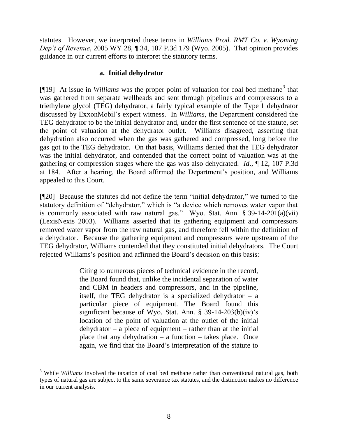statutes. However, we interpreted these terms in *Williams Prod. RMT Co. v. Wyoming Dep't of Revenue*, 2005 WY 28, ¶ 34, 107 P.3d 179 (Wyo. 2005). That opinion provides guidance in our current efforts to interpret the statutory terms.

### **a. Initial dehydrator**

[¶19] At issue in *Williams* was the proper point of valuation for coal bed methane<sup>3</sup> that was gathered from separate wellheads and sent through pipelines and compressors to a triethylene glycol (TEG) dehydrator, a fairly typical example of the Type 1 dehydrator discussed by ExxonMobil"s expert witness. In *Williams*, the Department considered the TEG dehydrator to be the initial dehydrator and, under the first sentence of the statute, set the point of valuation at the dehydrator outlet. Williams disagreed, asserting that dehydration also occurred when the gas was gathered and compressed, long before the gas got to the TEG dehydrator. On that basis, Williams denied that the TEG dehydrator was the initial dehydrator, and contended that the correct point of valuation was at the gathering or compression stages where the gas was also dehydrated. *Id*., ¶ 12, 107 P.3d at 184. After a hearing, the Board affirmed the Department"s position, and Williams appealed to this Court.

[¶20] Because the statutes did not define the term "initial dehydrator," we turned to the statutory definition of "dehydrator," which is "a device which removes water vapor that is commonly associated with raw natural gas." Wyo. Stat. Ann. § 39-14-201(a)(vii) (LexisNexis 2003). Williams asserted that its gathering equipment and compressors removed water vapor from the raw natural gas, and therefore fell within the definition of a dehydrator. Because the gathering equipment and compressors were upstream of the TEG dehydrator, Williams contended that they constituted initial dehydrators. The Court rejected Williams"s position and affirmed the Board"s decision on this basis:

> Citing to numerous pieces of technical evidence in the record, the Board found that, unlike the incidental separation of water and CBM in headers and compressors, and in the pipeline, itself, the TEG dehydrator is a specialized dehydrator  $-$  a particular piece of equipment. The Board found this significant because of Wyo. Stat. Ann.  $\S$  39-14-203(b)(iv)'s location of the point of valuation at the outlet of the initial  $de$ hydrator – a piece of equipment – rather than at the initial place that any dehydration  $-$  a function  $-$  takes place. Once again, we find that the Board"s interpretation of the statute to

<sup>3</sup> While *Williams* involved the taxation of coal bed methane rather than conventional natural gas, both types of natural gas are subject to the same severance tax statutes, and the distinction makes no difference in our current analysis.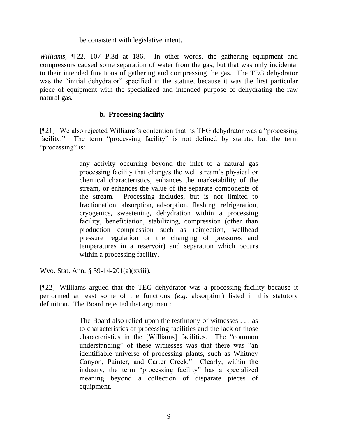be consistent with legislative intent.

*Williams*, ¶ 22, 107 P.3d at 186. In other words, the gathering equipment and compressors caused some separation of water from the gas, but that was only incidental to their intended functions of gathering and compressing the gas. The TEG dehydrator was the "initial dehydrator" specified in the statute, because it was the first particular piece of equipment with the specialized and intended purpose of dehydrating the raw natural gas.

## **b. Processing facility**

[¶21] We also rejected Williams"s contention that its TEG dehydrator was a "processing facility." The term "processing facility" is not defined by statute, but the term "processing" is:

> any activity occurring beyond the inlet to a natural gas processing facility that changes the well stream"s physical or chemical characteristics, enhances the marketability of the stream, or enhances the value of the separate components of the stream. Processing includes, but is not limited to fractionation, absorption, adsorption, flashing, refrigeration, cryogenics, sweetening, dehydration within a processing facility, beneficiation, stabilizing, compression (other than production compression such as reinjection, wellhead pressure regulation or the changing of pressures and temperatures in a reservoir) and separation which occurs within a processing facility.

Wyo. Stat. Ann. § 39-14-201(a)(xviii).

[¶22] Williams argued that the TEG dehydrator was a processing facility because it performed at least some of the functions (*e*.*g*. absorption) listed in this statutory definition. The Board rejected that argument:

> The Board also relied upon the testimony of witnesses . . . as to characteristics of processing facilities and the lack of those characteristics in the [Williams] facilities. The "common understanding" of these witnesses was that there was "an identifiable universe of processing plants, such as Whitney Canyon, Painter, and Carter Creek." Clearly, within the industry, the term "processing facility" has a specialized meaning beyond a collection of disparate pieces of equipment.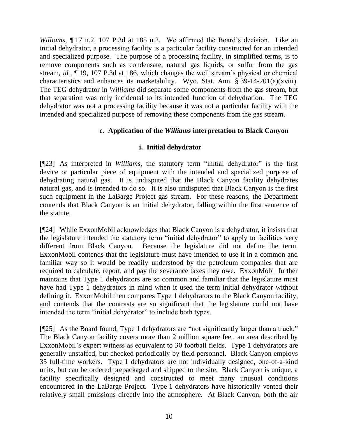*Williams*, ¶ 17 n.2, 107 P.3d at 185 n.2. We affirmed the Board"s decision. Like an initial dehydrator, a processing facility is a particular facility constructed for an intended and specialized purpose. The purpose of a processing facility, in simplified terms, is to remove components such as condensate, natural gas liquids, or sulfur from the gas stream, *id.*, ¶ 19, 107 P.3d at 186, which changes the well stream"s physical or chemical characteristics and enhances its marketability. Wyo. Stat. Ann. § 39-14-201(a)(xviii). The TEG dehydrator in *Williams* did separate some components from the gas stream, but that separation was only incidental to its intended function of dehydration. The TEG dehydrator was not a processing facility because it was not a particular facility with the intended and specialized purpose of removing these components from the gas stream.

## **c. Application of the** *Williams* **interpretation to Black Canyon**

## **i. Initial dehydrator**

[¶23] As interpreted in *Williams*, the statutory term "initial dehydrator" is the first device or particular piece of equipment with the intended and specialized purpose of dehydrating natural gas. It is undisputed that the Black Canyon facility dehydrates natural gas, and is intended to do so. It is also undisputed that Black Canyon is the first such equipment in the LaBarge Project gas stream. For these reasons, the Department contends that Black Canyon is an initial dehydrator, falling within the first sentence of the statute.

[¶24] While ExxonMobil acknowledges that Black Canyon is a dehydrator, it insists that the legislature intended the statutory term "initial dehydrator" to apply to facilities very different from Black Canyon. Because the legislature did not define the term, ExxonMobil contends that the legislature must have intended to use it in a common and familiar way so it would be readily understood by the petroleum companies that are required to calculate, report, and pay the severance taxes they owe. ExxonMobil further maintains that Type 1 dehydrators are so common and familiar that the legislature must have had Type 1 dehydrators in mind when it used the term initial dehydrator without defining it. ExxonMobil then compares Type 1 dehydrators to the Black Canyon facility, and contends that the contrasts are so significant that the legislature could not have intended the term "initial dehydrator" to include both types.

[¶25] As the Board found, Type 1 dehydrators are "not significantly larger than a truck." The Black Canyon facility covers more than 2 million square feet, an area described by ExxonMobil's expert witness as equivalent to 30 football fields. Type 1 dehydrators are generally unstaffed, but checked periodically by field personnel. Black Canyon employs 35 full-time workers. Type 1 dehydrators are not individually designed, one-of-a-kind units, but can be ordered prepackaged and shipped to the site. Black Canyon is unique, a facility specifically designed and constructed to meet many unusual conditions encountered in the LaBarge Project. Type 1 dehydrators have historically vented their relatively small emissions directly into the atmosphere. At Black Canyon, both the air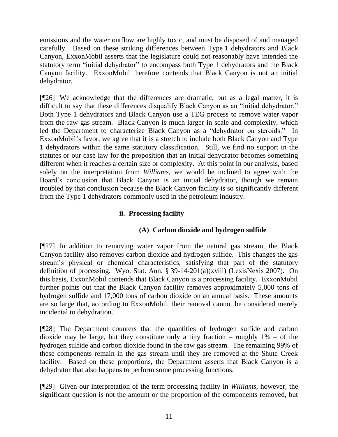emissions and the water outflow are highly toxic, and must be disposed of and managed carefully. Based on these striking differences between Type 1 dehydrators and Black Canyon, ExxonMobil asserts that the legislature could not reasonably have intended the statutory term "initial dehydrator" to encompass both Type 1 dehydrators and the Black Canyon facility. ExxonMobil therefore contends that Black Canyon is not an initial dehydrator.

[¶26] We acknowledge that the differences are dramatic, but as a legal matter, it is difficult to say that these differences disqualify Black Canyon as an "initial dehydrator." Both Type 1 dehydrators and Black Canyon use a TEG process to remove water vapor from the raw gas stream. Black Canyon is much larger in scale and complexity, which led the Department to characterize Black Canyon as a "dehydrator on steroids." In ExxonMobil's favor, we agree that it is a stretch to include both Black Canyon and Type 1 dehydrators within the same statutory classification. Still, we find no support in the statutes or our case law for the proposition that an initial dehydrator becomes something different when it reaches a certain size or complexity. At this point in our analysis, based solely on the interpretation from *Williams*, we would be inclined to agree with the Board"s conclusion that Black Canyon is an initial dehydrator, though we remain troubled by that conclusion because the Black Canyon facility is so significantly different from the Type 1 dehydrators commonly used in the petroleum industry.

# **ii. Processing facility**

# **(A) Carbon dioxide and hydrogen sulfide**

[¶27] In addition to removing water vapor from the natural gas stream, the Black Canyon facility also removes carbon dioxide and hydrogen sulfide. This changes the gas stream"s physical or chemical characteristics, satisfying that part of the statutory definition of processing. Wyo. Stat. Ann. § 39-14-201(a)(xviii) (LexisNexis 2007). On this basis, ExxonMobil contends that Black Canyon is a processing facility. ExxonMobil further points out that the Black Canyon facility removes approximately 5,000 tons of hydrogen sulfide and 17,000 tons of carbon dioxide on an annual basis. These amounts are so large that, according to ExxonMobil, their removal cannot be considered merely incidental to dehydration.

[¶28] The Department counters that the quantities of hydrogen sulfide and carbon dioxide may be large, but they constitute only a tiny fraction – roughly  $1\%$  – of the hydrogen sulfide and carbon dioxide found in the raw gas stream. The remaining 99% of these components remain in the gas stream until they are removed at the Shute Creek facility. Based on these proportions, the Department asserts that Black Canyon is a dehydrator that also happens to perform some processing functions.

[¶29] Given our interpretation of the term processing facility in *Williams*, however, the significant question is not the amount or the proportion of the components removed, but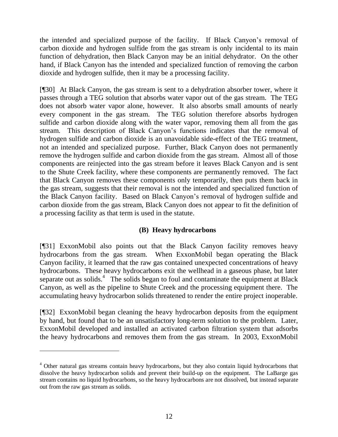the intended and specialized purpose of the facility. If Black Canyon"s removal of carbon dioxide and hydrogen sulfide from the gas stream is only incidental to its main function of dehydration, then Black Canyon may be an initial dehydrator. On the other hand, if Black Canyon has the intended and specialized function of removing the carbon dioxide and hydrogen sulfide, then it may be a processing facility.

[¶30] At Black Canyon, the gas stream is sent to a dehydration absorber tower, where it passes through a TEG solution that absorbs water vapor out of the gas stream. The TEG does not absorb water vapor alone, however. It also absorbs small amounts of nearly every component in the gas stream. The TEG solution therefore absorbs hydrogen sulfide and carbon dioxide along with the water vapor, removing them all from the gas stream. This description of Black Canyon"s functions indicates that the removal of hydrogen sulfide and carbon dioxide is an unavoidable side-effect of the TEG treatment, not an intended and specialized purpose. Further, Black Canyon does not permanently remove the hydrogen sulfide and carbon dioxide from the gas stream. Almost all of those components are reinjected into the gas stream before it leaves Black Canyon and is sent to the Shute Creek facility, where these components are permanently removed. The fact that Black Canyon removes these components only temporarily, then puts them back in the gas stream, suggests that their removal is not the intended and specialized function of the Black Canyon facility. Based on Black Canyon"s removal of hydrogen sulfide and carbon dioxide from the gas stream, Black Canyon does not appear to fit the definition of a processing facility as that term is used in the statute.

# **(B) Heavy hydrocarbons**

[¶31] ExxonMobil also points out that the Black Canyon facility removes heavy hydrocarbons from the gas stream. When ExxonMobil began operating the Black Canyon facility, it learned that the raw gas contained unexpected concentrations of heavy hydrocarbons. These heavy hydrocarbons exit the wellhead in a gaseous phase, but later separate out as solids.<sup>4</sup> The solids began to foul and contaminate the equipment at Black Canyon, as well as the pipeline to Shute Creek and the processing equipment there. The accumulating heavy hydrocarbon solids threatened to render the entire project inoperable.

[¶32] ExxonMobil began cleaning the heavy hydrocarbon deposits from the equipment by hand, but found that to be an unsatisfactory long-term solution to the problem. Later, ExxonMobil developed and installed an activated carbon filtration system that adsorbs the heavy hydrocarbons and removes them from the gas stream. In 2003, ExxonMobil

 $\overline{a}$ 

<sup>&</sup>lt;sup>4</sup> Other natural gas streams contain heavy hydrocarbons, but they also contain liquid hydrocarbons that dissolve the heavy hydrocarbon solids and prevent their build-up on the equipment. The LaBarge gas stream contains no liquid hydrocarbons, so the heavy hydrocarbons are not dissolved, but instead separate out from the raw gas stream as solids.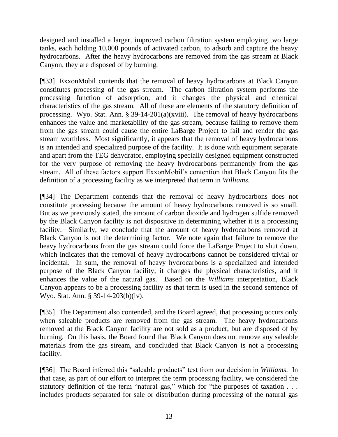designed and installed a larger, improved carbon filtration system employing two large tanks, each holding 10,000 pounds of activated carbon, to adsorb and capture the heavy hydrocarbons. After the heavy hydrocarbons are removed from the gas stream at Black Canyon, they are disposed of by burning.

[¶33] ExxonMobil contends that the removal of heavy hydrocarbons at Black Canyon constitutes processing of the gas stream. The carbon filtration system performs the processing function of adsorption, and it changes the physical and chemical characteristics of the gas stream. All of these are elements of the statutory definition of processing. Wyo. Stat. Ann. § 39-14-201(a)(xviii). The removal of heavy hydrocarbons enhances the value and marketability of the gas stream, because failing to remove them from the gas stream could cause the entire LaBarge Project to fail and render the gas stream worthless. Most significantly, it appears that the removal of heavy hydrocarbons is an intended and specialized purpose of the facility. It is done with equipment separate and apart from the TEG dehydrator, employing specially designed equipment constructed for the very purpose of removing the heavy hydrocarbons permanently from the gas stream. All of these factors support ExxonMobil"s contention that Black Canyon fits the definition of a processing facility as we interpreted that term in *Williams*.

[¶34] The Department contends that the removal of heavy hydrocarbons does not constitute processing because the amount of heavy hydrocarbons removed is so small. But as we previously stated, the amount of carbon dioxide and hydrogen sulfide removed by the Black Canyon facility is not dispositive in determining whether it is a processing facility. Similarly, we conclude that the amount of heavy hydrocarbons removed at Black Canyon is not the determining factor. We note again that failure to remove the heavy hydrocarbons from the gas stream could force the LaBarge Project to shut down, which indicates that the removal of heavy hydrocarbons cannot be considered trivial or incidental. In sum, the removal of heavy hydrocarbons is a specialized and intended purpose of the Black Canyon facility, it changes the physical characteristics, and it enhances the value of the natural gas. Based on the *Williams* interpretation, Black Canyon appears to be a processing facility as that term is used in the second sentence of Wyo. Stat. Ann. § 39-14-203(b)(iv).

[¶35] The Department also contended, and the Board agreed, that processing occurs only when saleable products are removed from the gas stream. The heavy hydrocarbons removed at the Black Canyon facility are not sold as a product, but are disposed of by burning. On this basis, the Board found that Black Canyon does not remove any saleable materials from the gas stream, and concluded that Black Canyon is not a processing facility.

[¶36] The Board inferred this "saleable products" test from our decision in *Williams*. In that case, as part of our effort to interpret the term processing facility, we considered the statutory definition of the term "natural gas," which for "the purposes of taxation . . . includes products separated for sale or distribution during processing of the natural gas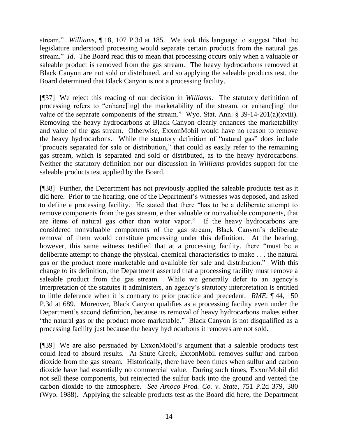stream." *Williams*, ¶ 18, 107 P.3d at 185. We took this language to suggest "that the legislature understood processing would separate certain products from the natural gas stream." *Id*. The Board read this to mean that processing occurs only when a valuable or saleable product is removed from the gas stream. The heavy hydrocarbons removed at Black Canyon are not sold or distributed, and so applying the saleable products test, the Board determined that Black Canyon is not a processing facility.

[¶37] We reject this reading of our decision in *Williams*. The statutory definition of processing refers to "enhanc[ing] the marketability of the stream, or enhanc[ing] the value of the separate components of the stream." Wyo. Stat. Ann. § 39-14-201(a)(xviii). Removing the heavy hydrocarbons at Black Canyon clearly enhances the marketability and value of the gas stream. Otherwise, ExxonMobil would have no reason to remove the heavy hydrocarbons. While the statutory definition of "natural gas" does include "products separated for sale or distribution," that could as easily refer to the remaining gas stream, which is separated and sold or distributed, as to the heavy hydrocarbons. Neither the statutory definition nor our discussion in *Williams* provides support for the saleable products test applied by the Board.

[¶38] Further, the Department has not previously applied the saleable products test as it did here. Prior to the hearing, one of the Department's witnesses was deposed, and asked to define a processing facility. He stated that there "has to be a deliberate attempt to remove components from the gas stream, either valuable or nonvaluable components, that are items of natural gas other than water vapor." If the heavy hydrocarbons are considered nonvaluable components of the gas stream, Black Canyon"s deliberate removal of them would constitute processing under this definition. At the hearing, however, this same witness testified that at a processing facility, there "must be a deliberate attempt to change the physical, chemical characteristics to make . . . the natural gas or the product more marketable and available for sale and distribution." With this change to its definition, the Department asserted that a processing facility must remove a saleable product from the gas stream. While we generally defer to an agency's interpretation of the statutes it administers, an agency"s statutory interpretation is entitled to little deference when it is contrary to prior practice and precedent. *RME*, ¶ 44, 150 P.3d at 689. Moreover, Black Canyon qualifies as a processing facility even under the Department's second definition, because its removal of heavy hydrocarbons makes either "the natural gas or the product more marketable." Black Canyon is not disqualified as a processing facility just because the heavy hydrocarbons it removes are not sold.

[¶39] We are also persuaded by ExxonMobil"s argument that a saleable products test could lead to absurd results. At Shute Creek, ExxonMobil removes sulfur and carbon dioxide from the gas stream. Historically, there have been times when sulfur and carbon dioxide have had essentially no commercial value. During such times, ExxonMobil did not sell these components, but reinjected the sulfur back into the ground and vented the carbon dioxide to the atmosphere. *See Amoco Prod. Co. v. State*, 751 P.2d 379, 380 (Wyo. 1988). Applying the saleable products test as the Board did here, the Department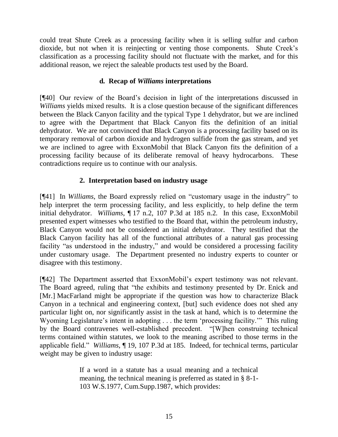could treat Shute Creek as a processing facility when it is selling sulfur and carbon dioxide, but not when it is reinjecting or venting those components. Shute Creek"s classification as a processing facility should not fluctuate with the market, and for this additional reason, we reject the saleable products test used by the Board.

# **d. Recap of** *Williams* **interpretations**

[¶40] Our review of the Board"s decision in light of the interpretations discussed in *Williams* yields mixed results. It is a close question because of the significant differences between the Black Canyon facility and the typical Type 1 dehydrator, but we are inclined to agree with the Department that Black Canyon fits the definition of an initial dehydrator. We are not convinced that Black Canyon is a processing facility based on its temporary removal of carbon dioxide and hydrogen sulfide from the gas stream, and yet we are inclined to agree with ExxonMobil that Black Canyon fits the definition of a processing facility because of its deliberate removal of heavy hydrocarbons. These contradictions require us to continue with our analysis.

# **2. Interpretation based on industry usage**

[¶41] In *Williams*, the Board expressly relied on "customary usage in the industry" to help interpret the term processing facility, and less explicitly, to help define the term initial dehydrator. *Williams*, ¶ 17 n.2, 107 P.3d at 185 n.2. In this case, ExxonMobil presented expert witnesses who testified to the Board that, within the petroleum industry, Black Canyon would not be considered an initial dehydrator. They testified that the Black Canyon facility has all of the functional attributes of a natural gas processing facility "as understood in the industry," and would be considered a processing facility under customary usage. The Department presented no industry experts to counter or disagree with this testimony.

[¶42] The Department asserted that ExxonMobil"s expert testimony was not relevant. The Board agreed, ruling that "the exhibits and testimony presented by Dr. Enick and [Mr.] MacFarland might be appropriate if the question was how to characterize Black Canyon in a technical and engineering context, [but] such evidence does not shed any particular light on, nor significantly assist in the task at hand, which is to determine the Wyoming Legislature's intent in adopting . . . the term 'processing facility.'" This ruling by the Board contravenes well-established precedent. "[W]hen construing technical terms contained within statutes, we look to the meaning ascribed to those terms in the applicable field." *Williams*, ¶ 19, 107 P.3d at 185. Indeed, for technical terms, particular weight may be given to industry usage:

> If a word in a statute has a usual meaning and a technical meaning, the technical meaning is preferred as stated in § 8-1- 103 W.S.1977, Cum.Supp.1987, which provides: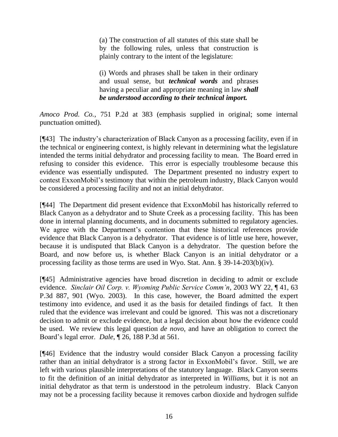(a) The construction of all statutes of this state shall be by the following rules, unless that construction is plainly contrary to the intent of the legislature:

(i) Words and phrases shall be taken in their ordinary and usual sense, but *technical words* and phrases having a peculiar and appropriate meaning in law *shall be understood according to their technical import.*

*Amoco Prod. Co.*, 751 P.2d at 383 (emphasis supplied in original; some internal punctuation omitted).

[¶43] The industry"s characterization of Black Canyon as a processing facility, even if in the technical or engineering context, is highly relevant in determining what the legislature intended the terms initial dehydrator and processing facility to mean. The Board erred in refusing to consider this evidence. This error is especially troublesome because this evidence was essentially undisputed. The Department presented no industry expert to contest ExxonMobil"s testimony that within the petroleum industry, Black Canyon would be considered a processing facility and not an initial dehydrator.

[¶44] The Department did present evidence that ExxonMobil has historically referred to Black Canyon as a dehydrator and to Shute Creek as a processing facility. This has been done in internal planning documents, and in documents submitted to regulatory agencies. We agree with the Department's contention that these historical references provide evidence that Black Canyon is a dehydrator. That evidence is of little use here, however, because it is undisputed that Black Canyon is a dehydrator. The question before the Board, and now before us, is whether Black Canyon is an initial dehydrator or a processing facility as those terms are used in Wyo. Stat. Ann. § 39-14-203(b)(iv).

[¶45] Administrative agencies have broad discretion in deciding to admit or exclude evidence. *Sinclair Oil Corp. v. Wyoming Public Service Comm'n*, 2003 WY 22, ¶ 41, 63 P.3d 887, 901 (Wyo. 2003). In this case, however, the Board admitted the expert testimony into evidence, and used it as the basis for detailed findings of fact. It then ruled that the evidence was irrelevant and could be ignored. This was not a discretionary decision to admit or exclude evidence, but a legal decision about how the evidence could be used. We review this legal question *de novo*, and have an obligation to correct the Board"s legal error. *Dale*, ¶ 26, 188 P.3d at 561.

[¶46] Evidence that the industry would consider Black Canyon a processing facility rather than an initial dehydrator is a strong factor in ExxonMobil"s favor. Still, we are left with various plausible interpretations of the statutory language. Black Canyon seems to fit the definition of an initial dehydrator as interpreted in *Williams*, but it is not an initial dehydrator as that term is understood in the petroleum industry. Black Canyon may not be a processing facility because it removes carbon dioxide and hydrogen sulfide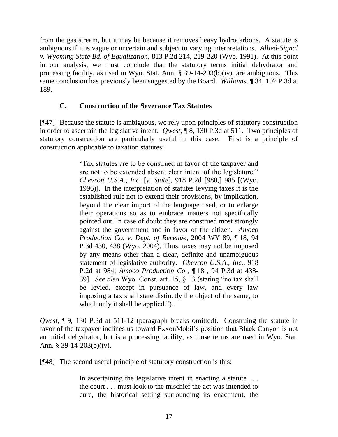from the gas stream, but it may be because it removes heavy hydrocarbons. A statute is ambiguous if it is vague or uncertain and subject to varying interpretations. *Allied-Signal v. Wyoming State Bd. of Equalization*, 813 P.2d 214, 219-220 (Wyo. 1991). At this point in our analysis, we must conclude that the statutory terms initial dehydrator and processing facility, as used in Wyo. Stat. Ann. § 39-14-203(b)(iv), are ambiguous. This same conclusion has previously been suggested by the Board. *Williams*, ¶ 34, 107 P.3d at 189.

## **C. Construction of the Severance Tax Statutes**

[¶47] Because the statute is ambiguous, we rely upon principles of statutory construction in order to ascertain the legislative intent. *Qwest*, ¶ 8, 130 P.3d at 511. Two principles of statutory construction are particularly useful in this case. First is a principle of construction applicable to taxation statutes:

> "Tax statutes are to be construed in favor of the taxpayer and are not to be extended absent clear intent of the legislature." *Chevron U.S.A., Inc.* [*v. State*], 918 P.2d [980,] 985 [(Wyo. 1996)]. In the interpretation of statutes levying taxes it is the established rule not to extend their provisions, by implication, beyond the clear import of the language used, or to enlarge their operations so as to embrace matters not specifically pointed out. In case of doubt they are construed most strongly against the government and in favor of the citizen. *Amoco Production Co. v. Dept. of Revenue*, 2004 WY 89, ¶ 18, 94 P.3d 430, 438 (Wyo. 2004). Thus, taxes may not be imposed by any means other than a clear, definite and unambiguous statement of legislative authority. *Chevron U.S.A., Inc.*, 918 P.2d at 984; *Amoco Production Co.*, ¶ 18[, 94 P.3d at 438- 39]. *See also* Wyo. Const. art. 15, § 13 (stating "no tax shall be levied, except in pursuance of law, and every law imposing a tax shall state distinctly the object of the same, to which only it shall be applied.").

*Qwest*, ¶ 9, 130 P.3d at 511-12 (paragraph breaks omitted). Construing the statute in favor of the taxpayer inclines us toward ExxonMobil"s position that Black Canyon is not an initial dehydrator, but is a processing facility, as those terms are used in Wyo. Stat. Ann. § 39-14-203(b)(iv).

[¶48] The second useful principle of statutory construction is this:

In ascertaining the legislative intent in enacting a statute ... the court . . . must look to the mischief the act was intended to cure, the historical setting surrounding its enactment, the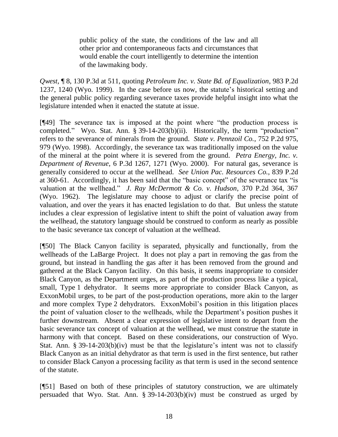public policy of the state, the conditions of the law and all other prior and contemporaneous facts and circumstances that would enable the court intelligently to determine the intention of the lawmaking body.

*Qwest*, ¶ 8, 130 P.3d at 511, quoting *Petroleum Inc. v. State Bd. of Equalization*, 983 P.2d 1237, 1240 (Wyo. 1999). In the case before us now, the statute"s historical setting and the general public policy regarding severance taxes provide helpful insight into what the legislature intended when it enacted the statute at issue.

[¶49] The severance tax is imposed at the point where "the production process is completed." Wyo. Stat. Ann. § 39-14-203(b)(ii). Historically, the term "production" refers to the severance of minerals from the ground. *State v. Pennzoil Co.*, 752 P.2d 975, 979 (Wyo. 1998). Accordingly, the severance tax was traditionally imposed on the value of the mineral at the point where it is severed from the ground. *Petra Energy, Inc. v. Department of Revenue*, 6 P.3d 1267, 1271 (Wyo. 2000). For natural gas, severance is generally considered to occur at the wellhead. *See Union Pac. Resources Co.*, 839 P.2d at 360-61. Accordingly, it has been said that the "basic concept" of the severance tax "is valuation at the wellhead." *J. Ray McDermott & Co. v. Hudson*, 370 P.2d 364, 367 (Wyo. 1962). The legislature may choose to adjust or clarify the precise point of valuation, and over the years it has enacted legislation to do that. But unless the statute includes a clear expression of legislative intent to shift the point of valuation away from the wellhead, the statutory language should be construed to conform as nearly as possible to the basic severance tax concept of valuation at the wellhead.

[¶50] The Black Canyon facility is separated, physically and functionally, from the wellheads of the LaBarge Project. It does not play a part in removing the gas from the ground, but instead in handling the gas after it has been removed from the ground and gathered at the Black Canyon facility. On this basis, it seems inappropriate to consider Black Canyon, as the Department urges, as part of the production process like a typical, small, Type 1 dehydrator. It seems more appropriate to consider Black Canyon, as ExxonMobil urges, to be part of the post-production operations, more akin to the larger and more complex Type 2 dehydrators. ExxonMobil"s position in this litigation places the point of valuation closer to the wellheads, while the Department"s position pushes it further downstream. Absent a clear expression of legislative intent to depart from the basic severance tax concept of valuation at the wellhead, we must construe the statute in harmony with that concept. Based on these considerations, our construction of Wyo. Stat. Ann.  $\S 39-14-203(b)(iv)$  must be that the legislature's intent was not to classify Black Canyon as an initial dehydrator as that term is used in the first sentence, but rather to consider Black Canyon a processing facility as that term is used in the second sentence of the statute.

[¶51] Based on both of these principles of statutory construction, we are ultimately persuaded that Wyo. Stat. Ann. § 39-14-203(b)(iv) must be construed as urged by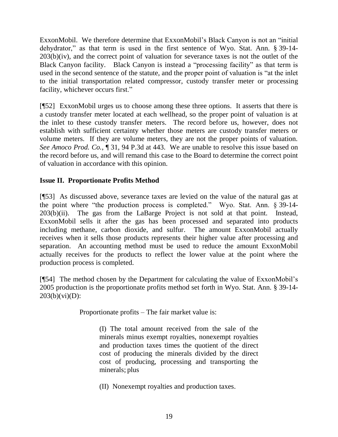ExxonMobil. We therefore determine that ExxonMobil"s Black Canyon is not an "initial dehydrator," as that term is used in the first sentence of Wyo. Stat. Ann. § 39-14-  $203(b)(iv)$ , and the correct point of valuation for severance taxes is not the outlet of the Black Canyon facility. Black Canyon is instead a "processing facility" as that term is used in the second sentence of the statute, and the proper point of valuation is "at the inlet to the initial transportation related compressor, custody transfer meter or processing facility, whichever occurs first."

[¶52] ExxonMobil urges us to choose among these three options. It asserts that there is a custody transfer meter located at each wellhead, so the proper point of valuation is at the inlet to these custody transfer meters. The record before us, however, does not establish with sufficient certainty whether those meters are custody transfer meters or volume meters. If they are volume meters, they are not the proper points of valuation. *See Amoco Prod. Co.*, ¶ 31, 94 P.3d at 443. We are unable to resolve this issue based on the record before us, and will remand this case to the Board to determine the correct point of valuation in accordance with this opinion.

# **Issue II. Proportionate Profits Method**

[¶53] As discussed above, severance taxes are levied on the value of the natural gas at the point where "the production process is completed." Wyo. Stat. Ann. § 39-14-  $203(b)(ii)$ . The gas from the LaBarge Project is not sold at that point. Instead, ExxonMobil sells it after the gas has been processed and separated into products including methane, carbon dioxide, and sulfur. The amount ExxonMobil actually receives when it sells those products represents their higher value after processing and separation. An accounting method must be used to reduce the amount ExxonMobil actually receives for the products to reflect the lower value at the point where the production process is completed.

[¶54] The method chosen by the Department for calculating the value of ExxonMobil"s 2005 production is the proportionate profits method set forth in Wyo. Stat. Ann. § 39-14-  $203(b)(vi)(D)$ :

Proportionate profits – The fair market value is:

(I) The total amount received from the sale of the minerals minus exempt royalties, nonexempt royalties and production taxes times the quotient of the direct cost of producing the minerals divided by the direct cost of producing, processing and transporting the minerals; plus

(II) Nonexempt royalties and production taxes.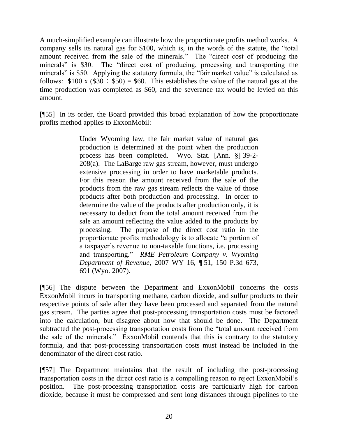A much-simplified example can illustrate how the proportionate profits method works. A company sells its natural gas for \$100, which is, in the words of the statute, the "total amount received from the sale of the minerals." The "direct cost of producing the minerals" is \$30. The "direct cost of producing, processing and transporting the minerals" is \$50. Applying the statutory formula, the "fair market value" is calculated as follows:  $$100 \times ($30 \div $50) = $60$ . This establishes the value of the natural gas at the time production was completed as \$60, and the severance tax would be levied on this amount.

[¶55] In its order, the Board provided this broad explanation of how the proportionate profits method applies to ExxonMobil:

> Under Wyoming law, the fair market value of natural gas production is determined at the point when the production process has been completed. Wyo. Stat. [Ann. §] 39-2- 208(a). The LaBarge raw gas stream, however, must undergo extensive processing in order to have marketable products. For this reason the amount received from the sale of the products from the raw gas stream reflects the value of those products after both production and processing. In order to determine the value of the products after production only, it is necessary to deduct from the total amount received from the sale an amount reflecting the value added to the products by processing. The purpose of the direct cost ratio in the proportionate profits methodology is to allocate "a portion of a taxpayer"s revenue to non-taxable functions, i.e. processing and transporting." *RME Petroleum Company v. Wyoming Department of Revenue*, 2007 WY 16, ¶ 51, 150 P.3d 673, 691 (Wyo. 2007).

[¶56] The dispute between the Department and ExxonMobil concerns the costs ExxonMobil incurs in transporting methane, carbon dioxide, and sulfur products to their respective points of sale after they have been processed and separated from the natural gas stream. The parties agree that post-processing transportation costs must be factored into the calculation, but disagree about how that should be done. The Department subtracted the post-processing transportation costs from the "total amount received from the sale of the minerals." ExxonMobil contends that this is contrary to the statutory formula, and that post-processing transportation costs must instead be included in the denominator of the direct cost ratio.

[¶57] The Department maintains that the result of including the post-processing transportation costs in the direct cost ratio is a compelling reason to reject ExxonMobil"s position. The post-processing transportation costs are particularly high for carbon dioxide, because it must be compressed and sent long distances through pipelines to the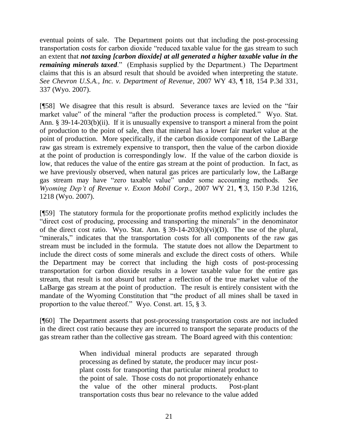eventual points of sale. The Department points out that including the post-processing transportation costs for carbon dioxide "reduced taxable value for the gas stream to such an extent that *not taxing [carbon dioxide] at all generated a higher taxable value in the remaining minerals taxed.*" (Emphasis supplied by the Department.) The Department claims that this is an absurd result that should be avoided when interpreting the statute. *See Chevron U.S.A., Inc. v. Department of Revenue*, 2007 WY 43, ¶ 18, 154 P.3d 331, 337 (Wyo. 2007).

[¶58] We disagree that this result is absurd. Severance taxes are levied on the "fair market value" of the mineral "after the production process is completed." Wyo. Stat. Ann. § 39-14-203(b)(ii). If it is unusually expensive to transport a mineral from the point of production to the point of sale, then that mineral has a lower fair market value at the point of production. More specifically, if the carbon dioxide component of the LaBarge raw gas stream is extremely expensive to transport, then the value of the carbon dioxide at the point of production is correspondingly low. If the value of the carbon dioxide is low, that reduces the value of the entire gas stream at the point of production. In fact, as we have previously observed, when natural gas prices are particularly low, the LaBarge gas stream may have "zero taxable value" under some accounting methods. *See Wyoming Dep't of Revenue v. Exxon Mobil Corp.*, 2007 WY 21, ¶ 3, 150 P.3d 1216, 1218 (Wyo. 2007).

[¶59] The statutory formula for the proportionate profits method explicitly includes the "direct cost of producing, processing and transporting the minerals" in the denominator of the direct cost ratio. Wyo. Stat. Ann. § 39-14-203(b)(vi)(D). The use of the plural, "minerals," indicates that the transportation costs for all components of the raw gas stream must be included in the formula. The statute does not allow the Department to include the direct costs of some minerals and exclude the direct costs of others. While the Department may be correct that including the high costs of post-processing transportation for carbon dioxide results in a lower taxable value for the entire gas stream, that result is not absurd but rather a reflection of the true market value of the LaBarge gas stream at the point of production. The result is entirely consistent with the mandate of the Wyoming Constitution that "the product of all mines shall be taxed in proportion to the value thereof." Wyo. Const. art. 15, § 3.

[¶60] The Department asserts that post-processing transportation costs are not included in the direct cost ratio because they are incurred to transport the separate products of the gas stream rather than the collective gas stream. The Board agreed with this contention:

> When individual mineral products are separated through processing as defined by statute, the producer may incur postplant costs for transporting that particular mineral product to the point of sale. Those costs do not proportionately enhance the value of the other mineral products. Post-plant transportation costs thus bear no relevance to the value added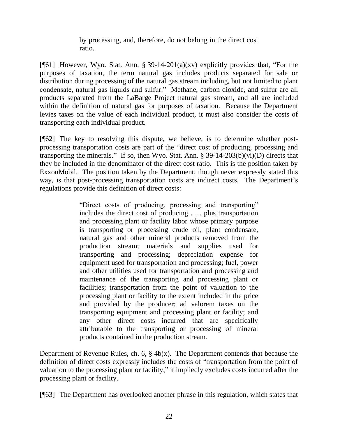by processing, and, therefore, do not belong in the direct cost ratio.

[ $[61]$ ] However, Wyo. Stat. Ann. § 39-14-201(a)(xv) explicitly provides that, "For the purposes of taxation, the term natural gas includes products separated for sale or distribution during processing of the natural gas stream including, but not limited to plant condensate, natural gas liquids and sulfur." Methane, carbon dioxide, and sulfur are all products separated from the LaBarge Project natural gas stream, and all are included within the definition of natural gas for purposes of taxation. Because the Department levies taxes on the value of each individual product, it must also consider the costs of transporting each individual product.

[¶62] The key to resolving this dispute, we believe, is to determine whether postprocessing transportation costs are part of the "direct cost of producing, processing and transporting the minerals." If so, then Wyo. Stat. Ann.  $\S 39-14-203(b)(vi)(D)$  directs that they be included in the denominator of the direct cost ratio. This is the position taken by ExxonMobil. The position taken by the Department, though never expressly stated this way, is that post-processing transportation costs are indirect costs. The Department's regulations provide this definition of direct costs:

> "Direct costs of producing, processing and transporting" includes the direct cost of producing . . . plus transportation and processing plant or facility labor whose primary purpose is transporting or processing crude oil, plant condensate, natural gas and other mineral products removed from the production stream; materials and supplies used for transporting and processing; depreciation expense for equipment used for transportation and processing; fuel, power and other utilities used for transportation and processing and maintenance of the transporting and processing plant or facilities; transportation from the point of valuation to the processing plant or facility to the extent included in the price and provided by the producer; ad valorem taxes on the transporting equipment and processing plant or facility; and any other direct costs incurred that are specifically attributable to the transporting or processing of mineral products contained in the production stream.

Department of Revenue Rules, ch.  $6, \frac{6}{9}$  4b(x). The Department contends that because the definition of direct costs expressly includes the costs of "transportation from the point of valuation to the processing plant or facility," it impliedly excludes costs incurred after the processing plant or facility.

[¶63] The Department has overlooked another phrase in this regulation, which states that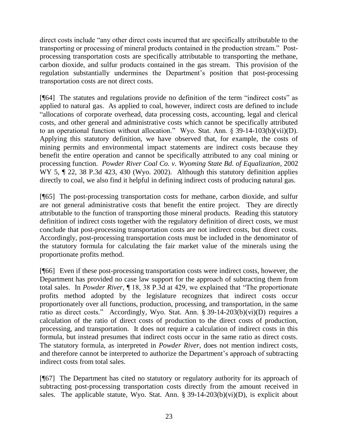direct costs include "any other direct costs incurred that are specifically attributable to the transporting or processing of mineral products contained in the production stream." Postprocessing transportation costs are specifically attributable to transporting the methane, carbon dioxide, and sulfur products contained in the gas stream. This provision of the regulation substantially undermines the Department's position that post-processing transportation costs are not direct costs.

[¶64] The statutes and regulations provide no definition of the term "indirect costs" as applied to natural gas. As applied to coal, however, indirect costs are defined to include "allocations of corporate overhead, data processing costs, accounting, legal and clerical costs, and other general and administrative costs which cannot be specifically attributed to an operational function without allocation." Wyo. Stat. Ann. § 39-14-103(b)(vii)(D). Applying this statutory definition, we have observed that, for example, the costs of mining permits and environmental impact statements are indirect costs because they benefit the entire operation and cannot be specifically attributed to any coal mining or processing function. *Powder River Coal Co. v. Wyoming State Bd. of Equalization*, 2002 WY 5,  $\P$  22, 38 P.3d 423, 430 (Wyo. 2002). Although this statutory definition applies directly to coal, we also find it helpful in defining indirect costs of producing natural gas.

[¶65] The post-processing transportation costs for methane, carbon dioxide, and sulfur are not general administrative costs that benefit the entire project. They are directly attributable to the function of transporting those mineral products. Reading this statutory definition of indirect costs together with the regulatory definition of direct costs, we must conclude that post-processing transportation costs are not indirect costs, but direct costs. Accordingly, post-processing transportation costs must be included in the denominator of the statutory formula for calculating the fair market value of the minerals using the proportionate profits method.

[¶66] Even if these post-processing transportation costs were indirect costs, however, the Department has provided no case law support for the approach of subtracting them from total sales. In *Powder River*, ¶ 18, 38 P.3d at 429, we explained that "The proportionate profits method adopted by the legislature recognizes that indirect costs occur proportionately over all functions, production, processing, and transportation, in the same ratio as direct costs." Accordingly, Wyo. Stat. Ann. § 39-14-203(b)(vi)(D) requires a calculation of the ratio of direct costs of production to the direct costs of production, processing, and transportation. It does not require a calculation of indirect costs in this formula, but instead presumes that indirect costs occur in the same ratio as direct costs. The statutory formula, as interpreted in *Powder River*, does not mention indirect costs, and therefore cannot be interpreted to authorize the Department"s approach of subtracting indirect costs from total sales.

[¶67] The Department has cited no statutory or regulatory authority for its approach of subtracting post-processing transportation costs directly from the amount received in sales. The applicable statute, Wyo. Stat. Ann.  $\S$  39-14-203(b)(vi)(D), is explicit about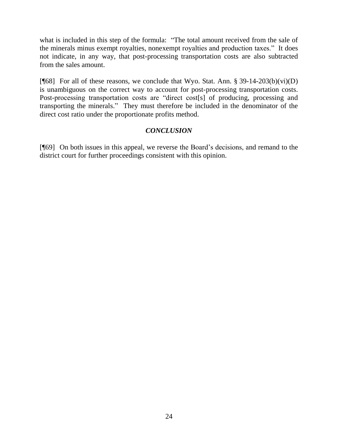what is included in this step of the formula: "The total amount received from the sale of the minerals minus exempt royalties, nonexempt royalties and production taxes." It does not indicate, in any way, that post-processing transportation costs are also subtracted from the sales amount.

[ $[68]$  For all of these reasons, we conclude that Wyo. Stat. Ann. § 39-14-203(b)(vi)(D) is unambiguous on the correct way to account for post-processing transportation costs. Post-processing transportation costs are "direct cost[s] of producing, processing and transporting the minerals." They must therefore be included in the denominator of the direct cost ratio under the proportionate profits method.

# *CONCLUSION*

[¶69] On both issues in this appeal, we reverse the Board"s decisions, and remand to the district court for further proceedings consistent with this opinion.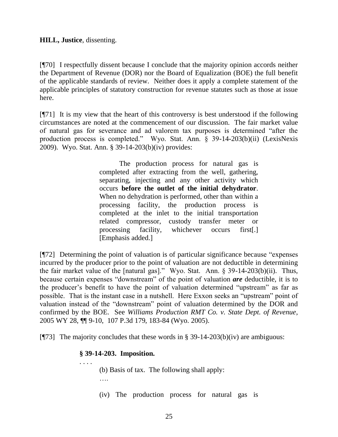[¶70] I respectfully dissent because I conclude that the majority opinion accords neither the Department of Revenue (DOR) nor the Board of Equalization (BOE) the full benefit of the applicable standards of review. Neither does it apply a complete statement of the applicable principles of statutory construction for revenue statutes such as those at issue here.

[¶71] It is my view that the heart of this controversy is best understood if the following circumstances are noted at the commencement of our discussion. The fair market value of natural gas for severance and ad valorem tax purposes is determined "after the production process is completed." Wyo. Stat. Ann. § 39-14-203(b)(ii) (LexisNexis 2009). Wyo. Stat. Ann. § 39-14-203(b)(iv) provides:

> The production process for natural gas is completed after extracting from the well, gathering, separating, injecting and any other activity which occurs **before the outlet of the initial dehydrator**. When no dehydration is performed, other than within a processing facility, the production process is completed at the inlet to the initial transportation related compressor, custody transfer meter or processing facility, whichever occurs first[.] [Emphasis added.]

[¶72] Determining the point of valuation is of particular significance because "expenses incurred by the producer prior to the point of valuation are not deductible in determining the fair market value of the [natural gas]." Wyo. Stat. Ann. § 39-14-203(b)(ii). Thus, because certain expenses "downstream" of the point of valuation *are* deductible, it is to the producer"s benefit to have the point of valuation determined "upstream" as far as possible. That is the instant case in a nutshell. Here Exxon seeks an "upstream" point of valuation instead of the "downstream" point of valuation determined by the DOR and confirmed by the BOE. See *Williams Production RMT Co. v. State Dept. of Revenue*, 2005 WY 28, ¶¶ 9-10, 107 P.3d 179, 183-84 (Wyo. 2005).

[ $[973]$ ] The majority concludes that these words in § 39-14-203(b)(iv) are ambiguous:

## **§ 39-14-203. Imposition.**

. . . .

(b) Basis of tax. The following shall apply: ….

(iv) The production process for natural gas is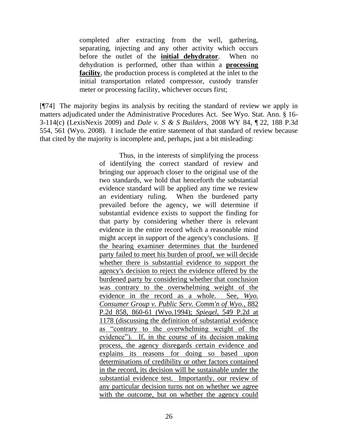completed after extracting from the well, gathering, separating, injecting and any other activity which occurs before the outlet of the **initial dehydrator**. When no dehydration is performed, other than within a **processing facility**, the production process is completed at the inlet to the initial transportation related compressor, custody transfer meter or processing facility, whichever occurs first;

[¶74] The majority begins its analysis by reciting the standard of review we apply in matters adjudicated under the Administrative Procedures Act. See Wyo. Stat. Ann. § 16- 3-114(c) (LexisNexis 2009) and *Dale v. S & S Builders*, 2008 WY 84, ¶ 22, 188 P.3d 554, 561 (Wyo. 2008). I include the entire statement of that standard of review because that cited by the majority is incomplete and, perhaps, just a bit misleading:

> Thus, in the interests of simplifying the process of identifying the correct standard of review and bringing our approach closer to the original use of the two standards, we hold that henceforth the substantial evidence standard will be applied any time we review an evidentiary ruling. When the burdened party prevailed before the agency, we will determine if substantial evidence exists to support the finding for that party by considering whether there is relevant evidence in the entire record which a reasonable mind might accept in support of the agency's conclusions. If the hearing examiner determines that the burdened party failed to meet his burden of proof, we will decide whether there is substantial evidence to support the agency's decision to reject the evidence offered by the burdened party by considering whether that conclusion was contrary to the overwhelming weight of the evidence in the record as a whole. See, *Wyo. Consumer Group v. Public Serv. Comm'n of Wyo.*, 882 P.2d 858, 860-61 (Wyo.1994); *Spiegel*, 549 P.2d at 1178 (discussing the definition of substantial evidence as "contrary to the overwhelming weight of the evidence"). If, in the course of its decision making process, the agency disregards certain evidence and explains its reasons for doing so based upon determinations of credibility or other factors contained in the record, its decision will be sustainable under the substantial evidence test. Importantly, our review of any particular decision turns not on whether we agree with the outcome, but on whether the agency could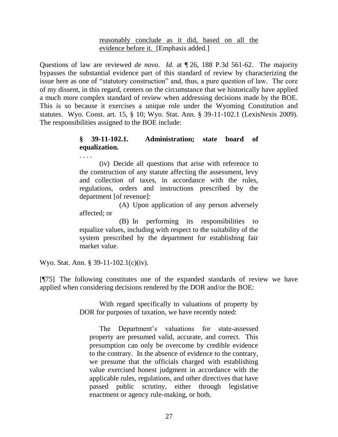#### reasonably conclude as it did, based on all the evidence before it. [Emphasis added.]

Questions of law are reviewed *de novo*. *Id*. at ¶ 26, 188 P.3d 561-62. The majority bypasses the substantial evidence part of this standard of review by characterizing the issue here as one of "statutory construction" and, thus, a pure question of law. The core of my dissent, in this regard, centers on the circumstance that we historically have applied a much more complex standard of review when addressing decisions made by the BOE. This is so because it exercises a unique role under the Wyoming Constitution and statutes. Wyo. Const. art. 15, § 10; Wyo. Stat. Ann. § 39-11-102.1 (LexisNexis 2009). The responsibilities assigned to the BOE include:

# **§ 39-11-102.1. Administration; state board of equalization.**

(iv) Decide all questions that arise with reference to the construction of any statute affecting the assessment, levy and collection of taxes, in accordance with the rules, regulations, orders and instructions prescribed by the department [of revenue]:

(A) Upon application of any person adversely affected; or

(B) In performing its responsibilities to equalize values, including with respect to the suitability of the system prescribed by the department for establishing fair market value.

Wyo. Stat. Ann. § 39-11-102.1(c)(iv).

. . . .

[¶75] The following constitutes one of the expanded standards of review we have applied when considering decisions rendered by the DOR and/or the BOE:

> With regard specifically to valuations of property by DOR for purposes of taxation, we have recently noted:

The Department"s valuations for state-assessed property are presumed valid, accurate, and correct. This presumption can only be overcome by credible evidence to the contrary. In the absence of evidence to the contrary, we presume that the officials charged with establishing value exercised honest judgment in accordance with the applicable rules, regulations, and other directives that have passed public scrutiny, either through legislative enactment or agency rule-making, or both.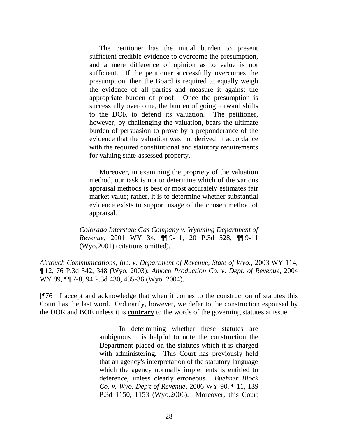The petitioner has the initial burden to present sufficient credible evidence to overcome the presumption, and a mere difference of opinion as to value is not sufficient. If the petitioner successfully overcomes the presumption, then the Board is required to equally weigh the evidence of all parties and measure it against the appropriate burden of proof. Once the presumption is successfully overcome, the burden of going forward shifts to the DOR to defend its valuation. The petitioner, however, by challenging the valuation, bears the ultimate burden of persuasion to prove by a preponderance of the evidence that the valuation was not derived in accordance with the required constitutional and statutory requirements for valuing state-assessed property.

Moreover, in examining the propriety of the valuation method, our task is not to determine which of the various appraisal methods is best or most accurately estimates fair market value; rather, it is to determine whether substantial evidence exists to support usage of the chosen method of appraisal.

*Colorado Interstate Gas Company v. Wyoming Department of Revenue*, 2001 WY 34, ¶¶ 9-11, 20 P.3d 528, ¶¶ 9-11 (Wyo.2001) (citations omitted).

*Airtouch Communications, Inc. v. Department of Revenue, State of Wyo.*, 2003 WY 114, ¶ 12, 76 P.3d 342, 348 (Wyo. 2003); *Amoco Production Co. v. Dept. of Revenue*, 2004 WY 89, ¶¶ 7-8, 94 P.3d 430, 435-36 (Wyo. 2004).

[¶76] I accept and acknowledge that when it comes to the construction of statutes this Court has the last word. Ordinarily, however, we defer to the construction espoused by the DOR and BOE unless it is **contrary** to the words of the governing statutes at issue:

> In determining whether these statutes are ambiguous it is helpful to note the construction the Department placed on the statutes which it is charged with administering. This Court has previously held that an agency's interpretation of the statutory language which the agency normally implements is entitled to deference, unless clearly erroneous. *Buehner Block Co. v. Wyo. Dep't of Revenue*, 2006 WY 90, ¶ 11, 139 P.3d 1150, 1153 (Wyo.2006). Moreover, this Court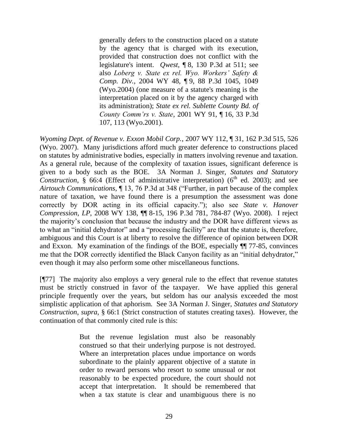generally defers to the construction placed on a statute by the agency that is charged with its execution, provided that construction does not conflict with the legislature's intent. *Qwest*, ¶ 8, 130 P.3d at 511; see also *Loberg v. State ex rel. Wyo. Workers' Safety & Comp. Div.*, 2004 WY 48, ¶ 9, 88 P.3d 1045, 1049 (Wyo.2004) (one measure of a statute's meaning is the interpretation placed on it by the agency charged with its administration); *State ex rel. Sublette County Bd. of County Comm'rs v. State*, 2001 WY 91, ¶ 16, 33 P.3d 107, 113 (Wyo.2001).

*Wyoming Dept. of Revenue v. Exxon Mobil Corp.*, 2007 WY 112, ¶ 31, 162 P.3d 515, 526 (Wyo. 2007). Many jurisdictions afford much greater deference to constructions placed on statutes by administrative bodies, especially in matters involving revenue and taxation. As a general rule, because of the complexity of taxation issues, significant deference is given to a body such as the BOE. 3A Norman J. Singer, *Statutes and Statutory Construction*,  $\frac{8}{3}$  66:4 (Effect of administrative interpretation) (6<sup>th</sup> ed. 2003); and see *Airtouch Communications*, ¶ 13, 76 P.3d at 348 ("Further, in part because of the complex nature of taxation, we have found there is a presumption the assessment was done correctly by DOR acting in its official capacity."); also see *State v. Hanover Compression, LP*, 2008 WY 138, ¶¶ 8-15, 196 P.3d 781, 784-87 (Wyo. 2008). I reject the majority"s conclusion that because the industry and the DOR have different views as to what an "initial dehydrator" and a "processing facility" are that the statute is, therefore, ambiguous and this Court is at liberty to resolve the difference of opinion between DOR and Exxon. My examination of the findings of the BOE, especially ¶¶ 77-85, convinces me that the DOR correctly identified the Black Canyon facility as an "initial dehydrator," even though it may also perform some other miscellaneous functions.

[¶77] The majority also employs a very general rule to the effect that revenue statutes must be strictly construed in favor of the taxpayer. We have applied this general principle frequently over the years, but seldom has our analysis exceeded the most simplistic application of that aphorism. See 3A Norman J. Singer, *Statutes and Statutory Construction*, *supra*, § 66:1 (Strict construction of statutes creating taxes). However, the continuation of that commonly cited rule is this:

> But the revenue legislation must also be reasonably construed so that their underlying purpose is not destroyed. Where an interpretation places undue importance on words subordinate to the plainly apparent objective of a statute in order to reward persons who resort to some unusual or not reasonably to be expected procedure, the court should not accept that interpretation. It should be remembered that when a tax statute is clear and unambiguous there is no